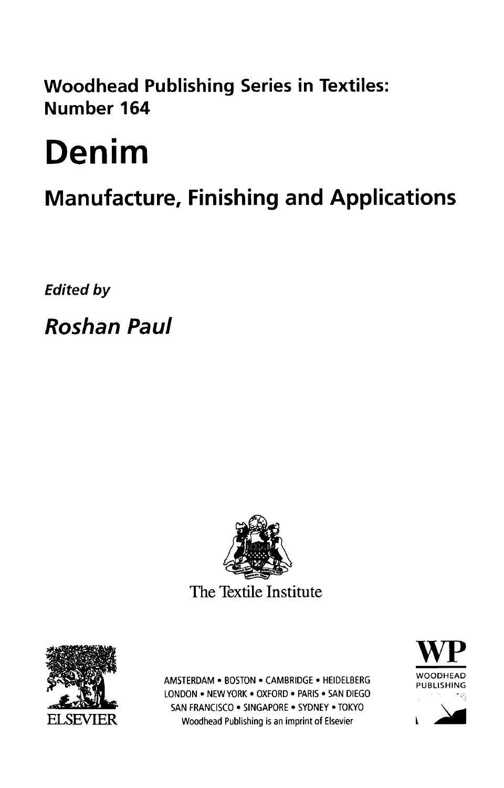Woodhead Publishing Series in Textiles: Number 164

## Denim

## Manufacture, Finishing and Applications

Edited by

Roshan Paul





AMSTERDAM • BOSTON • CAMBRIDGE • HEIDELBERG "YOODHEAD LONDON • NEW YORK • OXFORD • PARIS • SAN DIEGO SAN FRANCISCO • SINGAPORE • SYDNEY • TOKYO ELSEVIER Woodhead Publishing is an imprint of Elsevier

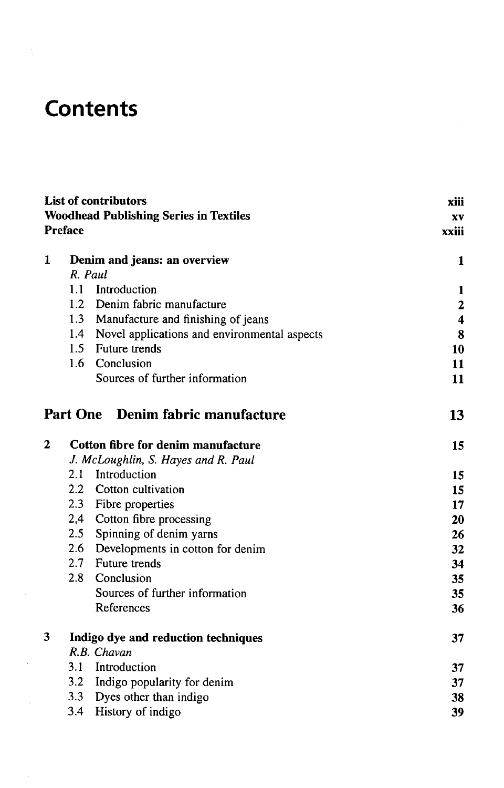## **Contents**

 $\overline{\phantom{a}}$ 

| <b>List of contributors</b><br><b>Woodhead Publishing Series in Textiles</b><br><b>Preface</b> |                                                  | xiii<br>XV<br>xxiii     |
|------------------------------------------------------------------------------------------------|--------------------------------------------------|-------------------------|
| 1                                                                                              | Denim and jeans: an overview<br>R. Paul          | 1                       |
|                                                                                                | 1.1 Introduction                                 | 1                       |
|                                                                                                | 1.2 Denim fabric manufacture                     | $\overline{\mathbf{c}}$ |
|                                                                                                | 1.3 Manufacture and finishing of jeans           | $\overline{\mathbf{4}}$ |
|                                                                                                | 1.4 Novel applications and environmental aspects | 8                       |
|                                                                                                | 1.5 Future trends                                | 10                      |
|                                                                                                | 1.6 Conclusion                                   | 11                      |
|                                                                                                | Sources of further information                   | 11                      |
|                                                                                                | Part One Denim fabric manufacture                | 13                      |
| $\mathbf{2}$                                                                                   | Cotton fibre for denim manufacture               | 15                      |
|                                                                                                | J. McLoughlin, S. Hayes and R. Paul              |                         |
|                                                                                                | 2.1 Introduction                                 | 15                      |
|                                                                                                | 2.2 Cotton cultivation                           | 15                      |
|                                                                                                | 2.3 Fibre properties                             | 17                      |
|                                                                                                | 2.4 Cotton fibre processing                      | 20                      |
|                                                                                                | 2.5 Spinning of denim yarns                      | 26                      |
|                                                                                                | 2.6 Developments in cotton for denim             | 32                      |
|                                                                                                | 2.7 Future trends                                | 34                      |
|                                                                                                | 2.8 Conclusion                                   | 35                      |
|                                                                                                | Sources of further information                   | 35                      |
|                                                                                                | References                                       | 36                      |
| 3                                                                                              | Indigo dye and reduction techniques              | 37                      |
|                                                                                                | R.B. Chavan                                      |                         |
|                                                                                                | 3.1<br>Introduction                              | 37                      |
|                                                                                                | 3.2 Indigo popularity for denim                  | 37                      |
|                                                                                                | 3.3 Dyes other than indigo                       | 38                      |
|                                                                                                | 3.4 History of indigo                            | 39                      |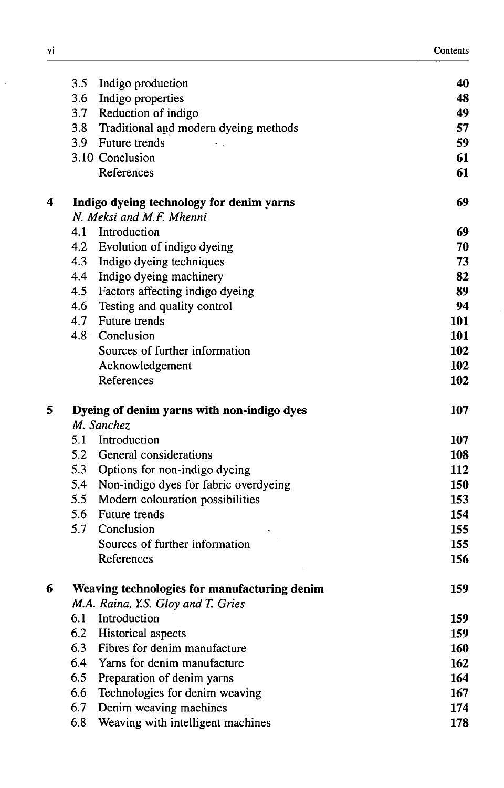|   | 3.5 | Indigo production                            | 40  |
|---|-----|----------------------------------------------|-----|
|   |     | 3.6 Indigo properties                        | 48  |
|   |     | 3.7 Reduction of indigo                      | 49  |
|   |     | 3.8 Traditional and modern dyeing methods    | 57  |
|   |     | 3.9 Future trends                            | 59  |
|   |     | 3.10 Conclusion                              | 61  |
|   |     | References                                   | 61  |
| 4 |     | Indigo dyeing technology for denim yarns     | 69  |
|   |     | N. Meksi and M.F. Mhenni                     |     |
|   |     | 4.1 Introduction                             | 69  |
|   |     | 4.2 Evolution of indigo dyeing               | 70  |
|   |     | 4.3 Indigo dyeing techniques                 | 73  |
|   | 4.4 | Indigo dyeing machinery                      | 82  |
|   |     | 4.5 Factors affecting indigo dyeing          | 89  |
|   |     | 4.6 Testing and quality control              | 94  |
|   | 4.7 | <b>Future trends</b>                         | 101 |
|   | 4.8 | Conclusion                                   | 101 |
|   |     | Sources of further information               | 102 |
|   |     | Acknowledgement                              | 102 |
|   |     | References                                   | 102 |
| 5 |     | Dyeing of denim yarns with non-indigo dyes   | 107 |
|   |     | M. Sanchez                                   |     |
|   |     | 5.1 Introduction                             | 107 |
|   |     | 5.2 General considerations                   | 108 |
|   |     | 5.3 Options for non-indigo dyeing            | 112 |
|   |     | 5.4 Non-indigo dyes for fabric overdyeing    | 150 |
|   | 5.5 | Modern colouration possibilities             | 153 |
|   | 5.6 | Future trends                                | 154 |
|   | 5.7 | Conclusion                                   | 155 |
|   |     | Sources of further information               | 155 |
|   |     | References                                   | 156 |
| 6 |     | Weaving technologies for manufacturing denim | 159 |
|   |     | M.A. Raina, Y.S. Gloy and T. Gries           |     |
|   | 6.1 | Introduction                                 | 159 |
|   | 6.2 | Historical aspects                           | 159 |
|   | 6.3 | Fibres for denim manufacture                 | 160 |
|   | 6.4 | Yarns for denim manufacture                  | 162 |
|   | 6.5 | Preparation of denim yarns                   | 164 |
|   | 6.6 | Technologies for denim weaving               | 167 |
|   | 6.7 | Denim weaving machines                       | 174 |
|   | 6.8 | Weaving with intelligent machines            | 178 |

 $\ddot{\phantom{0}}$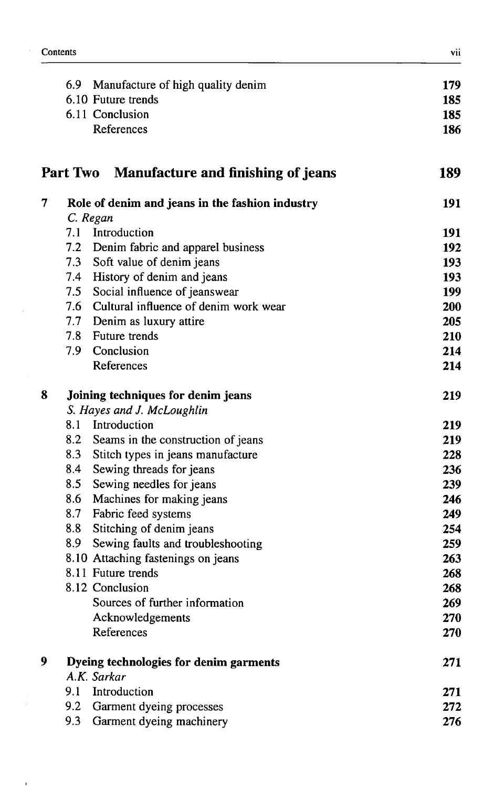$\bar{\mathrm{i}}$ 

|   |     | 6.9 Manufacture of high quality denim           | 179 |
|---|-----|-------------------------------------------------|-----|
|   |     | 6.10 Future trends                              | 185 |
|   |     | 6.11 Conclusion                                 | 185 |
|   |     | References                                      | 186 |
|   |     | Part Two Manufacture and finishing of jeans     | 189 |
| 7 |     | Role of denim and jeans in the fashion industry | 191 |
|   |     | C. Regan                                        |     |
|   | 7.1 | Introduction                                    | 191 |
|   |     | 7.2 Denim fabric and apparel business           | 192 |
|   |     | 7.3 Soft value of denim jeans                   | 193 |
|   |     | 7.4 History of denim and jeans                  | 193 |
|   |     | 7.5 Social influence of jeanswear               | 199 |
|   |     | 7.6 Cultural influence of denim work wear       | 200 |
|   |     | 7.7 Denim as luxury attire                      | 205 |
|   |     | 7.8 Future trends                               | 210 |
|   |     | 7.9 Conclusion                                  | 214 |
|   |     | References                                      | 214 |
| 8 |     | Joining techniques for denim jeans              | 219 |
|   |     | S. Hayes and J. McLoughlin                      |     |
|   |     | 8.1 Introduction                                | 219 |
|   |     | 8.2 Seams in the construction of jeans          | 219 |
|   |     | 8.3 Stitch types in jeans manufacture           | 228 |
|   | 8.4 | Sewing threads for jeans                        | 236 |
|   | 8.5 | Sewing needles for jeans                        | 239 |
|   | 8.6 | Machines for making jeans                       | 246 |
|   |     | 8.7 Fabric feed systems                         | 249 |
|   |     | 8.8 Stitching of denim jeans                    | 254 |
|   | 8.9 | Sewing faults and troubleshooting               | 259 |
|   |     | 8.10 Attaching fastenings on jeans              | 263 |
|   |     | 8.11 Future trends                              | 268 |
|   |     | 8.12 Conclusion                                 | 268 |
|   |     | Sources of further information                  | 269 |
|   |     | Acknowledgements                                | 270 |
|   |     | References                                      | 270 |
| 9 |     | Dyeing technologies for denim garments          | 271 |
|   |     | A.K. Sarkar                                     |     |
|   | 9.1 | Introduction                                    | 271 |
|   | 9.2 | Garment dyeing processes                        | 272 |
|   | 9.3 | Garment dyeing machinery                        | 276 |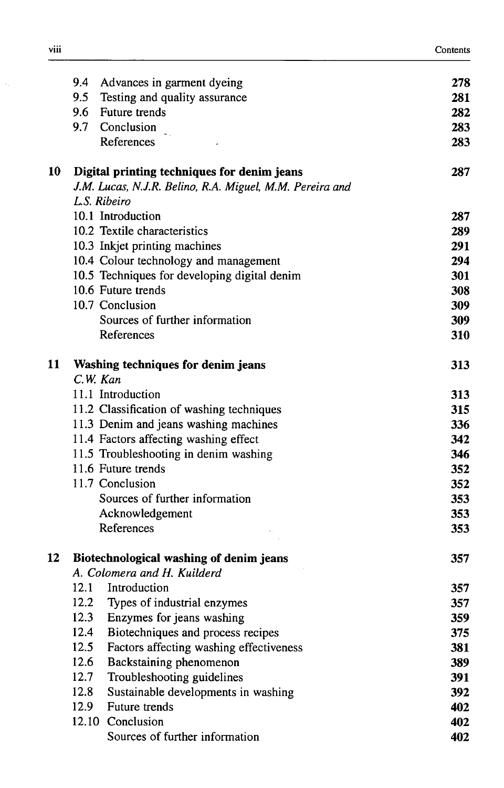|    |              | 9.4 Advances in garment dyeing                           | 278 |
|----|--------------|----------------------------------------------------------|-----|
|    | 9.5          | Testing and quality assurance                            | 281 |
|    |              | 9.6 Future trends                                        | 282 |
|    |              | 9.7 Conclusion                                           | 283 |
|    |              | References                                               | 283 |
| 10 |              | Digital printing techniques for denim jeans              | 287 |
|    |              | J.M. Lucas, N.J.R. Belino, R.A. Miguel, M.M. Pereira and |     |
|    | L.S. Ribeiro |                                                          |     |
|    |              | 10.1 Introduction                                        | 287 |
|    |              | 10.2 Textile characteristics                             | 289 |
|    |              | 10.3 Inkjet printing machines                            | 291 |
|    |              | 10.4 Colour technology and management                    | 294 |
|    |              | 10.5 Techniques for developing digital denim             | 301 |
|    |              | 10.6 Future trends                                       | 308 |
|    |              | 10.7 Conclusion                                          | 309 |
|    |              | Sources of further information                           | 309 |
|    |              | References                                               | 310 |
| 11 |              | Washing techniques for denim jeans                       | 313 |
|    | C.W. Kan     |                                                          |     |
|    |              | 11.1 Introduction                                        | 313 |
|    |              | 11.2 Classification of washing techniques                | 315 |
|    |              | 11.3 Denim and jeans washing machines                    | 336 |
|    |              | 11.4 Factors affecting washing effect                    | 342 |
|    |              | 11.5 Troubleshooting in denim washing                    | 346 |
|    |              | 11.6 Future trends                                       | 352 |
|    |              | 11.7 Conclusion                                          | 352 |
|    |              | Sources of further information                           | 353 |
|    |              | Acknowledgement                                          | 353 |
|    |              | References                                               | 353 |
| 12 |              | Biotechnological washing of denim jeans                  | 357 |
|    |              | A. Colomera and H. Kuilderd                              |     |
|    |              | 12.1 Introduction                                        | 357 |
|    | 12.2         | Types of industrial enzymes                              | 357 |
|    | 12.3         | Enzymes for jeans washing                                | 359 |
|    | 12.4         | Biotechniques and process recipes                        | 375 |
|    | 12.5         | Factors affecting washing effectiveness                  | 381 |
|    | 12.6         | Backstaining phenomenon                                  | 389 |
|    | 12.7         | Troubleshooting guidelines                               | 391 |
|    | 12.8         | Sustainable developments in washing                      | 392 |
|    | 12.9         | Future trends                                            | 402 |
|    |              | 12.10 Conclusion                                         | 402 |
|    |              | Sources of further information                           | 402 |

 $\hat{\boldsymbol{\beta}}$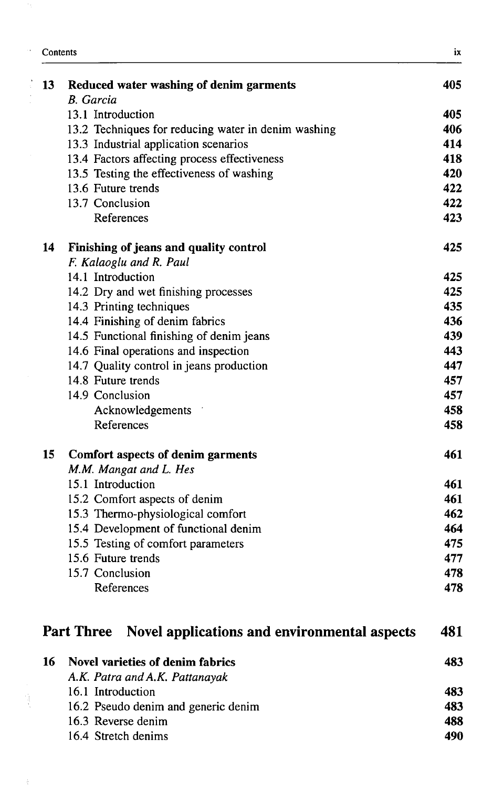| 13 | Reduced water washing of denim garments                                  | 405 |
|----|--------------------------------------------------------------------------|-----|
|    | B. Garcia                                                                |     |
|    | 13.1 Introduction                                                        | 405 |
|    | 13.2 Techniques for reducing water in denim washing                      | 406 |
|    | 13.3 Industrial application scenarios                                    | 414 |
|    | 13.4 Factors affecting process effectiveness                             | 418 |
|    | 13.5 Testing the effectiveness of washing                                | 420 |
|    | 13.6 Future trends                                                       | 422 |
|    | 13.7 Conclusion                                                          | 422 |
|    | References                                                               | 423 |
| 14 | Finishing of jeans and quality control                                   | 425 |
|    | F. Kalaoglu and R. Paul                                                  |     |
|    | 14.1 Introduction                                                        | 425 |
|    | 14.2 Dry and wet finishing processes                                     | 425 |
|    | 14.3 Printing techniques                                                 | 435 |
|    | 14.4 Finishing of denim fabrics                                          | 436 |
|    | 14.5 Functional finishing of denim jeans                                 | 439 |
|    | 14.6 Final operations and inspection                                     | 443 |
|    | 14.7 Quality control in jeans production                                 | 447 |
|    | 14.8 Future trends                                                       | 457 |
|    | 14.9 Conclusion                                                          | 457 |
|    | Acknowledgements                                                         | 458 |
|    | References                                                               | 458 |
| 15 | Comfort aspects of denim garments                                        | 461 |
|    | M.M. Mangat and L. Hes                                                   |     |
|    | 15.1 Introduction                                                        | 461 |
|    | 15.2 Comfort aspects of denim                                            | 461 |
|    | 15.3 Thermo-physiological comfort                                        | 462 |
|    | 15.4 Development of functional denim                                     | 464 |
|    | 15.5 Testing of comfort parameters                                       | 475 |
|    | 15.6 Future trends                                                       | 477 |
|    | 15.7 Conclusion                                                          | 478 |
|    | References                                                               | 478 |
|    | <b>Part Three</b><br><b>Novel applications and environmental aspects</b> | 481 |
|    |                                                                          |     |

| - 16 | Novel varieties of denim fabrics    | 483 |
|------|-------------------------------------|-----|
|      | A.K. Patra and A.K. Pattanayak      |     |
|      | 16.1 Introduction                   | 483 |
|      | 16.2 Pseudo denim and generic denim | 483 |
|      | 16.3 Reverse denim                  | 488 |
|      | 16.4 Stretch denims                 | 490 |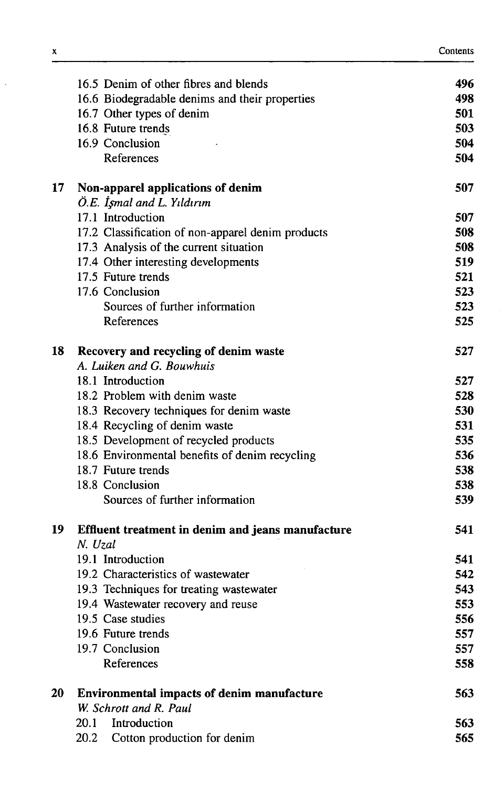| Contents |  |
|----------|--|
|----------|--|

|                                                   | 496                                                                                                                                                                                                                                                                                                                                                                                                                                                                                                                                                                                                                                                                                                                                                                                                                                                                                                                                                       |
|---------------------------------------------------|-----------------------------------------------------------------------------------------------------------------------------------------------------------------------------------------------------------------------------------------------------------------------------------------------------------------------------------------------------------------------------------------------------------------------------------------------------------------------------------------------------------------------------------------------------------------------------------------------------------------------------------------------------------------------------------------------------------------------------------------------------------------------------------------------------------------------------------------------------------------------------------------------------------------------------------------------------------|
|                                                   | 498                                                                                                                                                                                                                                                                                                                                                                                                                                                                                                                                                                                                                                                                                                                                                                                                                                                                                                                                                       |
|                                                   | 501                                                                                                                                                                                                                                                                                                                                                                                                                                                                                                                                                                                                                                                                                                                                                                                                                                                                                                                                                       |
|                                                   | 503                                                                                                                                                                                                                                                                                                                                                                                                                                                                                                                                                                                                                                                                                                                                                                                                                                                                                                                                                       |
| 16.9 Conclusion                                   | 504                                                                                                                                                                                                                                                                                                                                                                                                                                                                                                                                                                                                                                                                                                                                                                                                                                                                                                                                                       |
| References                                        | 504                                                                                                                                                                                                                                                                                                                                                                                                                                                                                                                                                                                                                                                                                                                                                                                                                                                                                                                                                       |
| Non-apparel applications of denim                 | 507                                                                                                                                                                                                                                                                                                                                                                                                                                                                                                                                                                                                                                                                                                                                                                                                                                                                                                                                                       |
| Ö.E. Işmal and L. Yıldırım                        |                                                                                                                                                                                                                                                                                                                                                                                                                                                                                                                                                                                                                                                                                                                                                                                                                                                                                                                                                           |
|                                                   | 507                                                                                                                                                                                                                                                                                                                                                                                                                                                                                                                                                                                                                                                                                                                                                                                                                                                                                                                                                       |
| 17.2 Classification of non-apparel denim products | 508                                                                                                                                                                                                                                                                                                                                                                                                                                                                                                                                                                                                                                                                                                                                                                                                                                                                                                                                                       |
|                                                   | 508                                                                                                                                                                                                                                                                                                                                                                                                                                                                                                                                                                                                                                                                                                                                                                                                                                                                                                                                                       |
|                                                   | 519                                                                                                                                                                                                                                                                                                                                                                                                                                                                                                                                                                                                                                                                                                                                                                                                                                                                                                                                                       |
|                                                   | 521                                                                                                                                                                                                                                                                                                                                                                                                                                                                                                                                                                                                                                                                                                                                                                                                                                                                                                                                                       |
|                                                   | 523                                                                                                                                                                                                                                                                                                                                                                                                                                                                                                                                                                                                                                                                                                                                                                                                                                                                                                                                                       |
|                                                   | 523                                                                                                                                                                                                                                                                                                                                                                                                                                                                                                                                                                                                                                                                                                                                                                                                                                                                                                                                                       |
|                                                   | 525                                                                                                                                                                                                                                                                                                                                                                                                                                                                                                                                                                                                                                                                                                                                                                                                                                                                                                                                                       |
| Recovery and recycling of denim waste             | 527                                                                                                                                                                                                                                                                                                                                                                                                                                                                                                                                                                                                                                                                                                                                                                                                                                                                                                                                                       |
|                                                   |                                                                                                                                                                                                                                                                                                                                                                                                                                                                                                                                                                                                                                                                                                                                                                                                                                                                                                                                                           |
|                                                   | 527                                                                                                                                                                                                                                                                                                                                                                                                                                                                                                                                                                                                                                                                                                                                                                                                                                                                                                                                                       |
|                                                   | 528                                                                                                                                                                                                                                                                                                                                                                                                                                                                                                                                                                                                                                                                                                                                                                                                                                                                                                                                                       |
|                                                   | 530                                                                                                                                                                                                                                                                                                                                                                                                                                                                                                                                                                                                                                                                                                                                                                                                                                                                                                                                                       |
|                                                   | 531                                                                                                                                                                                                                                                                                                                                                                                                                                                                                                                                                                                                                                                                                                                                                                                                                                                                                                                                                       |
|                                                   | 535                                                                                                                                                                                                                                                                                                                                                                                                                                                                                                                                                                                                                                                                                                                                                                                                                                                                                                                                                       |
|                                                   | 536                                                                                                                                                                                                                                                                                                                                                                                                                                                                                                                                                                                                                                                                                                                                                                                                                                                                                                                                                       |
|                                                   | 538                                                                                                                                                                                                                                                                                                                                                                                                                                                                                                                                                                                                                                                                                                                                                                                                                                                                                                                                                       |
|                                                   | 538                                                                                                                                                                                                                                                                                                                                                                                                                                                                                                                                                                                                                                                                                                                                                                                                                                                                                                                                                       |
|                                                   | 539                                                                                                                                                                                                                                                                                                                                                                                                                                                                                                                                                                                                                                                                                                                                                                                                                                                                                                                                                       |
| Effluent treatment in denim and jeans manufacture | 541                                                                                                                                                                                                                                                                                                                                                                                                                                                                                                                                                                                                                                                                                                                                                                                                                                                                                                                                                       |
|                                                   | 541                                                                                                                                                                                                                                                                                                                                                                                                                                                                                                                                                                                                                                                                                                                                                                                                                                                                                                                                                       |
|                                                   | 542                                                                                                                                                                                                                                                                                                                                                                                                                                                                                                                                                                                                                                                                                                                                                                                                                                                                                                                                                       |
|                                                   | 543                                                                                                                                                                                                                                                                                                                                                                                                                                                                                                                                                                                                                                                                                                                                                                                                                                                                                                                                                       |
|                                                   | 553                                                                                                                                                                                                                                                                                                                                                                                                                                                                                                                                                                                                                                                                                                                                                                                                                                                                                                                                                       |
|                                                   | 556                                                                                                                                                                                                                                                                                                                                                                                                                                                                                                                                                                                                                                                                                                                                                                                                                                                                                                                                                       |
|                                                   | 557                                                                                                                                                                                                                                                                                                                                                                                                                                                                                                                                                                                                                                                                                                                                                                                                                                                                                                                                                       |
|                                                   | 557                                                                                                                                                                                                                                                                                                                                                                                                                                                                                                                                                                                                                                                                                                                                                                                                                                                                                                                                                       |
| References                                        | 558                                                                                                                                                                                                                                                                                                                                                                                                                                                                                                                                                                                                                                                                                                                                                                                                                                                                                                                                                       |
|                                                   | 563                                                                                                                                                                                                                                                                                                                                                                                                                                                                                                                                                                                                                                                                                                                                                                                                                                                                                                                                                       |
| W. Schrott and R. Paul                            |                                                                                                                                                                                                                                                                                                                                                                                                                                                                                                                                                                                                                                                                                                                                                                                                                                                                                                                                                           |
| Introduction<br>20.1                              | 563                                                                                                                                                                                                                                                                                                                                                                                                                                                                                                                                                                                                                                                                                                                                                                                                                                                                                                                                                       |
| 20.2<br>Cotton production for denim               | 565                                                                                                                                                                                                                                                                                                                                                                                                                                                                                                                                                                                                                                                                                                                                                                                                                                                                                                                                                       |
|                                                   | 16.5 Denim of other fibres and blends<br>16.6 Biodegradable denims and their properties<br>16.7 Other types of denim<br>16.8 Future trends<br>17.1 Introduction<br>17.3 Analysis of the current situation<br>17.4 Other interesting developments<br>17.5 Future trends<br>17.6 Conclusion<br>Sources of further information<br>References<br>A. Luiken and G. Bouwhuis<br>18.1 Introduction<br>18.2 Problem with denim waste<br>18.3 Recovery techniques for denim waste<br>18.4 Recycling of denim waste<br>18.5 Development of recycled products<br>18.6 Environmental benefits of denim recycling<br>18.7 Future trends<br>18.8 Conclusion<br>Sources of further information<br>N. Uzal<br>19.1 Introduction<br>19.2 Characteristics of wastewater<br>19.3 Techniques for treating wastewater<br>19.4 Wastewater recovery and reuse<br>19.5 Case studies<br>19.6 Future trends<br>19.7 Conclusion<br><b>Environmental impacts of denim manufacture</b> |